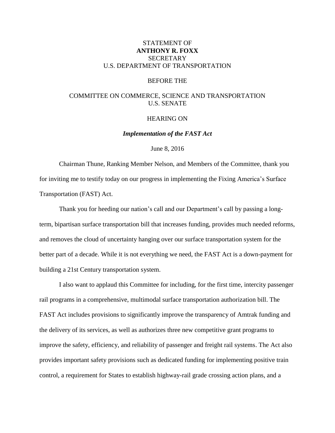# STATEMENT OF **ANTHONY R. FOXX SECRETARY** U.S. DEPARTMENT OF TRANSPORTATION

#### BEFORE THE

# COMMITTEE ON COMMERCE, SCIENCE AND TRANSPORTATION U.S. SENATE

## HEARING ON

*Implementation of the FAST Act*

## June 8, 2016

Chairman Thune, Ranking Member Nelson, and Members of the Committee, thank you for inviting me to testify today on our progress in implementing the Fixing America's Surface Transportation (FAST) Act.

Thank you for heeding our nation's call and our Department's call by passing a longterm, bipartisan surface transportation bill that increases funding, provides much needed reforms, and removes the cloud of uncertainty hanging over our surface transportation system for the better part of a decade. While it is not everything we need, the FAST Act is a down-payment for building a 21st Century transportation system.

I also want to applaud this Committee for including, for the first time, intercity passenger rail programs in a comprehensive, multimodal surface transportation authorization bill. The FAST Act includes provisions to significantly improve the transparency of Amtrak funding and the delivery of its services, as well as authorizes three new competitive grant programs to improve the safety, efficiency, and reliability of passenger and freight rail systems. The Act also provides important safety provisions such as dedicated funding for implementing positive train control, a requirement for States to establish highway-rail grade crossing action plans, and a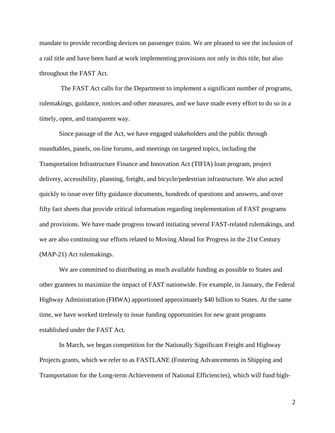mandate to provide recording devices on passenger trains. We are pleased to see the inclusion of a rail title and have been hard at work implementing provisions not only in this title, but also throughout the FAST Act.

The FAST Act calls for the Department to implement a significant number of programs, rulemakings, guidance, notices and other measures, and we have made every effort to do so in a timely, open, and transparent way.

Since passage of the Act, we have engaged stakeholders and the public through roundtables, panels, on-line forums, and meetings on targeted topics, including the Transportation Infrastructure Finance and Innovation Act (TIFIA) loan program, project delivery, accessibility, planning, freight, and bicycle/pedestrian infrastructure. We also acted quickly to issue over fifty guidance documents, hundreds of questions and answers, and over fifty fact sheets that provide critical information regarding implementation of FAST programs and provisions. We have made progress toward initiating several FAST-related rulemakings, and we are also continuing our efforts related to Moving Ahead for Progress in the 21st Century (MAP-21) Act rulemakings.

We are committed to distributing as much available funding as possible to States and other grantees to maximize the impact of FAST nationwide. For example, in January, the Federal Highway Administration (FHWA) apportioned approximately \$40 billion to States. At the same time, we have worked tirelessly to issue funding opportunities for new grant programs established under the FAST Act.

In March, we began competition for the Nationally Significant Freight and Highway Projects grants, which we refer to as FASTLANE (Fostering Advancements in Shipping and Transportation for the Long-term Achievement of National Efficiencies), which will fund high-

2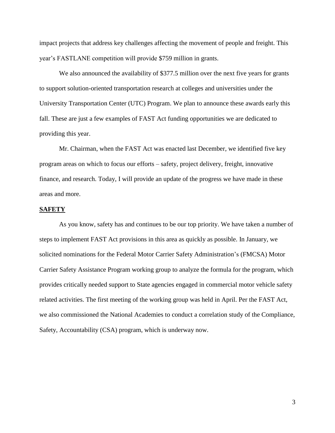impact projects that address key challenges affecting the movement of people and freight. This year's FASTLANE competition will provide \$759 million in grants.

We also announced the availability of \$377.5 million over the next five years for grants to support solution-oriented transportation research at colleges and universities under the University Transportation Center (UTC) Program. We plan to announce these awards early this fall. These are just a few examples of FAST Act funding opportunities we are dedicated to providing this year.

Mr. Chairman, when the FAST Act was enacted last December, we identified five key program areas on which to focus our efforts – safety, project delivery, freight, innovative finance, and research. Today, I will provide an update of the progress we have made in these areas and more.

## **[SAFETY](https://www.transportation.gov/fastact/safety-factsheet)**

As you know, safety has and continues to be our top priority. We have taken a number of steps to implement FAST Act provisions in this area as quickly as possible. In January, we solicited nominations for the Federal Motor Carrier Safety Administration's (FMCSA) Motor Carrier Safety Assistance Program working group to analyze the formula for the program, which provides critically needed support to State agencies engaged in commercial motor vehicle safety related activities. The first meeting of the working group was held in April. Per the FAST Act, we also commissioned the National Academies to conduct a correlation study of the Compliance, Safety, Accountability (CSA) program, which is underway now.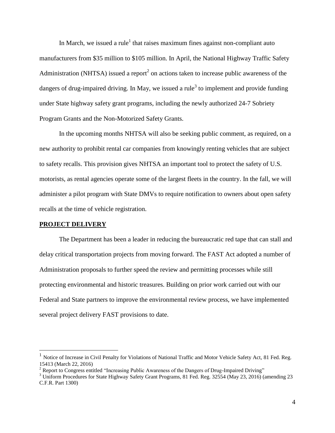In March, we issued a rule<sup>1</sup> that raises maximum fines against non-compliant auto manufacturers from \$35 million to \$105 million. In April, the National Highway Traffic Safety Administration (NHTSA) issued a report<sup>2</sup> on actions taken to increase public awareness of the dangers of drug-impaired driving. In May, we issued a rule<sup>3</sup> to implement and provide funding under State highway safety grant programs, including the newly authorized 24-7 Sobriety Program Grants and the Non-Motorized Safety Grants.

In the upcoming months NHTSA will also be seeking public comment, as required, on a new authority to prohibit rental car companies from knowingly renting vehicles that are subject to safety recalls. This provision gives NHTSA an important tool to protect the safety of U.S. motorists, as rental agencies operate some of the largest fleets in the country. In the fall, we will administer a pilot program with State DMVs to require notification to owners about open safety recalls at the time of vehicle registration.

## **PROJECT DELIVERY**

 $\overline{a}$ 

The Department has been a leader in reducing the bureaucratic red tape that can stall and delay critical transportation projects from moving forward. The FAST Act adopted a number of Administration proposals to further speed the review and permitting processes while still protecting environmental and historic treasures. Building on prior work carried out with our Federal and State partners to improve the environmental review process, we have implemented several project delivery FAST provisions to date.

<sup>1</sup> Notice of Increase in Civil Penalty for Violations of National Traffic and Motor Vehicle Safety Act, 81 Fed. Reg. 15413 (March 22, 2016)

<sup>&</sup>lt;sup>2</sup> Report to Congress entitled "Increasing Public Awareness of the Dangers of Drug-Impaired Driving"

<sup>3</sup> Uniform Procedures for State Highway Safety Grant Programs, 81 Fed. Reg. 32554 (May 23, 2016) (amending 23 C.F.R. Part 1300)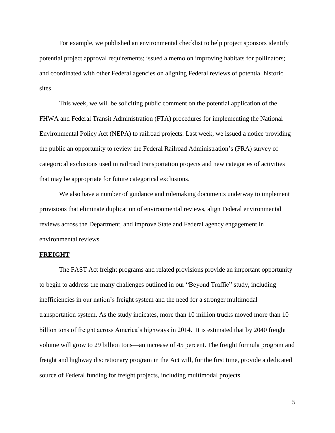For example, we published an environmental checklist to help project sponsors identify potential project approval requirements; issued a memo on improving habitats for pollinators; and coordinated with other Federal agencies on aligning Federal reviews of potential historic sites.

This week, we will be soliciting public comment on the potential application of the FHWA and Federal Transit Administration (FTA) procedures for implementing the National Environmental Policy Act (NEPA) to railroad projects. Last week, we issued a notice providing the public an opportunity to review the Federal Railroad Administration's (FRA) survey of categorical exclusions used in railroad transportation projects and new categories of activities that may be appropriate for future categorical exclusions.

We also have a number of guidance and rulemaking documents underway to implement provisions that eliminate duplication of environmental reviews, align Federal environmental reviews across the Department, and improve State and Federal agency engagement in environmental reviews.

#### **FREIGHT**

The FAST Act freight programs and related provisions provide an important opportunity to begin to address the many challenges outlined in our "Beyond Traffic" study, including inefficiencies in our nation's freight system and the need for a stronger multimodal transportation system. As the study indicates, more than 10 million trucks moved more than 10 billion tons of freight across America's highways in 2014. It is estimated that by 2040 freight volume will grow to 29 billion tons—an increase of 45 percent. The freight formula program and freight and highway discretionary program in the Act will, for the first time, provide a dedicated source of Federal funding for freight projects, including multimodal projects.

5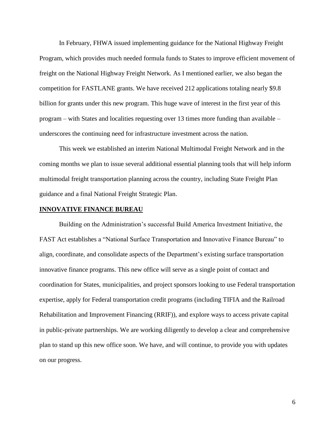In February, FHWA issued implementing guidance for the National Highway Freight Program, which provides much needed formula funds to States to improve efficient movement of freight on the National Highway Freight Network. As I mentioned earlier, we also began the competition for FASTLANE grants. We have received 212 applications totaling nearly \$9.8 billion for grants under this new program. This huge wave of interest in the first year of this program – with States and localities requesting over 13 times more funding than available – underscores the continuing need for infrastructure investment across the nation.

This week we established an interim National Multimodal Freight Network and in the coming months we plan to issue several additional essential planning tools that will help inform multimodal freight transportation planning across the country, including State Freight Plan guidance and a final National Freight Strategic Plan.

## **[INNOVATIVE FINANCE BUREAU](https://www.transportation.gov/fastact/innovative-financing-factsheet)**

Building on the Administration's successful Build America Investment Initiative, the FAST Act establishes a "National Surface Transportation and Innovative Finance Bureau" to align, coordinate, and consolidate aspects of the Department's existing surface transportation innovative finance programs. This new office will serve as a single point of contact and coordination for States, municipalities, and project sponsors looking to use Federal transportation expertise, apply for Federal transportation credit programs (including TIFIA and the Railroad Rehabilitation and Improvement Financing (RRIF)), and explore ways to access private capital in public-private partnerships. We are working diligently to develop a clear and comprehensive plan to stand up this new office soon. We have, and will continue, to provide you with updates on our progress.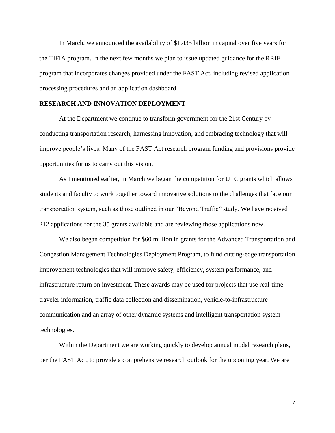In March, we announced the availability of \$1.435 billion in capital over five years for the TIFIA program. In the next few months we plan to issue updated guidance for the RRIF program that incorporates changes provided under the FAST Act, including revised application processing procedures and an application dashboard.

## **[RESEARCH](https://www.transportation.gov/fastact/innovative-financing-factsheet) AND INNOVATION DEPLOYMENT**

At the Department we continue to transform government for the 21st Century by conducting transportation research, harnessing innovation, and embracing technology that will improve people's lives. Many of the FAST Act research program funding and provisions provide opportunities for us to carry out this vision.

As I mentioned earlier, in March we began the competition for UTC grants which allows students and faculty to work together toward innovative solutions to the challenges that face our transportation system, such as those outlined in our "Beyond Traffic" study. We have received 212 applications for the 35 grants available and are reviewing those applications now.

We also began competition for \$60 million in grants for the Advanced Transportation and Congestion Management Technologies Deployment Program, to fund cutting-edge transportation improvement technologies that will improve safety, efficiency, system performance, and infrastructure return on investment. These awards may be used for projects that use real-time traveler information, traffic data collection and dissemination, vehicle-to-infrastructure communication and an array of other dynamic systems and intelligent transportation system technologies.

Within the Department we are working quickly to develop annual modal research plans, per the FAST Act, to provide a comprehensive research outlook for the upcoming year. We are

7